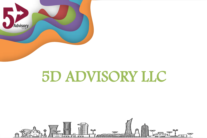

# 5D ADVISORY LLC

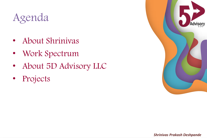# Agenda

- About Shrinivas
- Work Spectrum
- About 5D Advisory LLC
- Projects

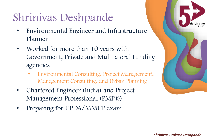## Shrinivas Deshpande

- Environmental Engineer and Infrastructure Planner
- Worked for more than 10 years with Government, Private and Multilateral Funding agencies
	- Environmental Consulting, Project Management, Management Consulting, and Urban Planning
- Chartered Engineer (India) and Project Management Professional (PMP®)
- Preparing for UPDA/MMUP exam

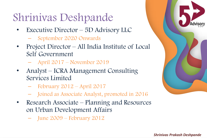### Shrinivas Deshpande

- Executive Director 5D Advisory LLC
	- September 2020 Onwards
- Project Director All India Institute of Local Self Government
	- April 2017 November 2019
- Analyst ICRA Management Consulting Services Limited
	- February 2012 April 2017
	- Joined as Associate Analyst, promoted in 2016
- Research Associate Planning and Resources on Urban Development Affairs
	- June 2009 February 2012

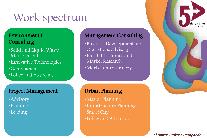### Work spectrum

### Environmental **Consulting**

- Solid and Liquid Waste Management
- •Innovative Technologies
- •Compliance
- Policy and Advocacy

### Project Management

- •Advisory
- Planning
- Leading

### Management Consulting

- Business Development and Operations advisory
- Feasibility studies and Market Research
- Market entry strategy

### Urban Planning

- Master Planning
- •Infrastructure Planning
- Smart City
- Policy and Advocacy



#### *Shrinivas Prakash Deshpande*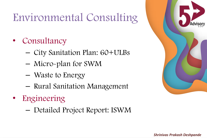## Environmental Consulting

- Consultancy
	- City Sanitation Plan: 60+ULBs
	- Micro-plan for SWM
	- Waste to Energy
	- Rural Sanitation Management
- **Engineering** 
	- Detailed Project Report: ISWM



#### *Shrinivas Prakash Deshpande*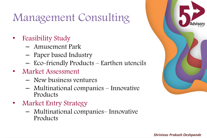### Management Consulting

- Feasibility Study
	- Amusement Park
	- Paper based Industry
	- Eco-friendly Products Earthen utencils
- Market Assessment
	- New business ventures
	- Multinational companies Innovative Products
- Market Entry Strategy
	- Multinational companies– Innovative Products

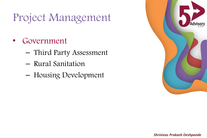# Project Management

- **Government** 
	- Third Party Assessment
	- Rural Sanitation
	- Housing Development

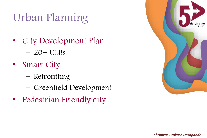# Urban Planning

- City Development Plan  $-20+$  ULBs
- Smart City
	- Retrofitting
	- Greenfield Development
- Pedestrian Friendly city

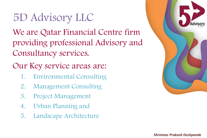## 5D Advisory LLC

We are Qatar Financial Centre firm providing professional Advisory and Consultancy services.

Our Key service areas are:

- 1. Environmental Consulting
- 2. Management Consulting
- 3. Project Management
- 4. Urban Planning and
- 5. Landscape Architecture

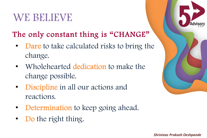### WE BELIEVE

### The only constant thing is "CHANGE"

- Dare to take calculated risks to bring the change.
- Wholehearted dedication to make the change possible.
- Discipline in all our actions and reactions.
- **Determination to keep going ahead.**
- Do the right thing.

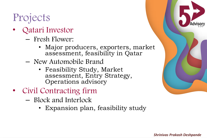## Projects

- Qatari Investor
	- Fresh Flower:
		- Major producers, exporters, market assessment, feasibility in Qatar
	- New Automobile Brand
		- Feasibility Study, Market assessment, Entry Strategy, Operations advisory
- Civil Contracting firm
	- Block and Interlock
		- Expansion plan, feasibility study

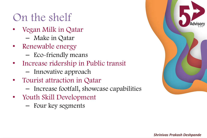### On the shelf

- Vegan Milk in Qatar
	- Make in Qatar
- Renewable energy
	- Eco-friendly means
- Increase ridership in Public transit
	- Innovative approach
- Tourist attraction in Qatar
	- Increase footfall, showcase capabilities
- Youth Skill Development
	- Four key segments